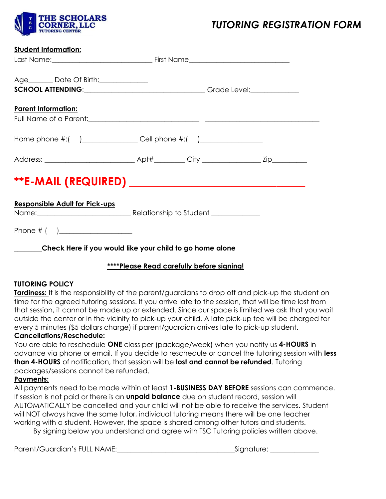

# *TUTORING REGISTRATION FORM*

|--|

| Age_________ Date Of Birth:______________                      |  |  |  |  |  |  |
|----------------------------------------------------------------|--|--|--|--|--|--|
| <b>Parent Information:</b>                                     |  |  |  |  |  |  |
|                                                                |  |  |  |  |  |  |
|                                                                |  |  |  |  |  |  |
|                                                                |  |  |  |  |  |  |
| <b>Responsible Adult for Pick-ups</b>                          |  |  |  |  |  |  |
|                                                                |  |  |  |  |  |  |
| ______Check Here if you would like your child to go home alone |  |  |  |  |  |  |

#### **\*\*\*\*Please Read carefully before signing!**

#### **TUTORING POLICY**

**Tardiness:** It is the responsibility of the parent/guardians to drop off and pick-up the student on time for the agreed tutoring sessions. If you arrive late to the session, that will be time lost from that session, it cannot be made up or extended. Since our space is limited we ask that you wait outside the center or in the vicinity to pick-up your child. A late pick-up fee will be charged for every 5 minutes (\$5 dollars charge) if parent/guardian arrives late to pick-up student.

### **Cancellations/Reschedule:**

You are able to reschedule **ONE** class per (package/week) when you notify us **4-HOURS** in advance via phone or email. If you decide to reschedule or cancel the tutoring session with **less than 4-HOURS** of notification, that session will be **lost and cannot be refunded**. Tutoring packages/sessions cannot be refunded.

#### **Payments:**

All payments need to be made within at least **1-BUSINESS DAY BEFORE** sessions can commence. If session is not paid or there is an **unpaid balance** due on student record, session will AUTOMATICALLY be cancelled and your child will not be able to receive the services. Student will NOT always have the same tutor, individual tutoring means there will be one teacher working with a student. However, the space is shared among other tutors and students.

By signing below you understand and agree with TSC Tutoring policies written above.

Parent/Guardian's FULL NAME:\_\_\_\_\_\_\_\_\_\_\_\_\_\_\_\_\_\_\_\_\_\_\_\_\_\_\_\_\_\_\_\_\_\_Signature: \_\_\_\_\_\_\_\_\_\_\_\_\_\_